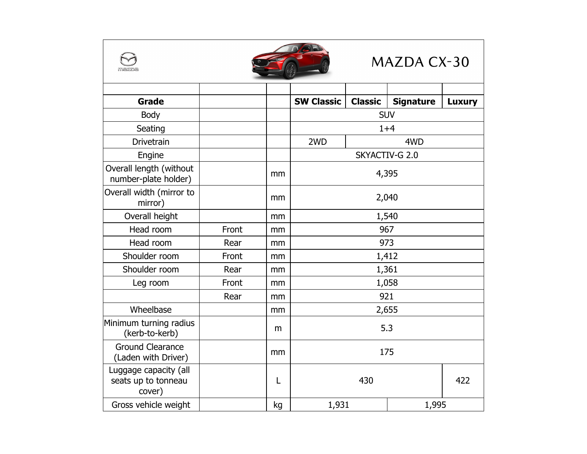|                                                        |       |    |                        |                | MAZDA CX-30      |               |
|--------------------------------------------------------|-------|----|------------------------|----------------|------------------|---------------|
| <b>Grade</b>                                           |       |    | <b>SW Classic</b>      | <b>Classic</b> | <b>Signature</b> | <b>Luxury</b> |
| Body                                                   |       |    | <b>SUV</b>             |                |                  |               |
| Seating                                                |       |    | $1 + 4$                |                |                  |               |
| <b>Drivetrain</b>                                      |       |    | 2 <sub>WD</sub><br>4WD |                |                  |               |
| Engine                                                 |       |    |                        |                | SKYACTIV-G 2.0   |               |
| Overall length (without<br>number-plate holder)        |       | mm | 4,395                  |                |                  |               |
| Overall width (mirror to<br>mirror)                    |       | mm | 2,040                  |                |                  |               |
| Overall height                                         |       | mm | 1,540                  |                |                  |               |
| Head room                                              | Front | mm | 967                    |                |                  |               |
| Head room                                              | Rear  | mm | 973                    |                |                  |               |
| Shoulder room                                          | Front | mm | 1,412                  |                |                  |               |
| Shoulder room                                          | Rear  | mm | 1,361                  |                |                  |               |
| Leg room                                               | Front | mm | 1,058                  |                |                  |               |
|                                                        | Rear  | mm | 921                    |                |                  |               |
| Wheelbase                                              |       | mm | 2,655                  |                |                  |               |
| Minimum turning radius<br>(kerb-to-kerb)               |       | m  | 5.3                    |                |                  |               |
| <b>Ground Clearance</b><br>(Laden with Driver)         |       | mm | 175                    |                |                  |               |
| Luggage capacity (all<br>seats up to tonneau<br>cover) |       | L  | 422<br>430             |                |                  |               |
| Gross vehicle weight                                   |       | kg | 1,931<br>1,995         |                |                  |               |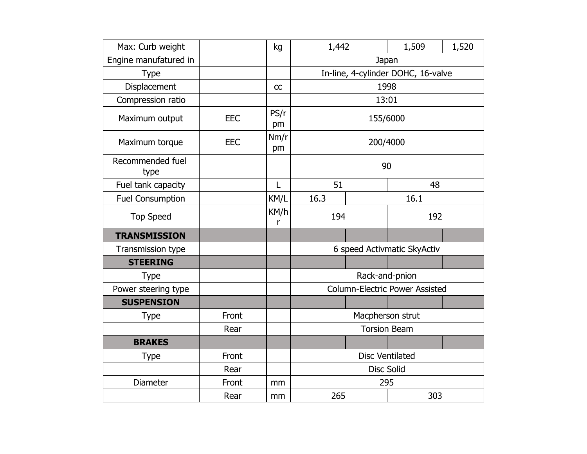| Max: Curb weight         |            | kg         | 1,442                                 |       | 1,509 | 1,520 |
|--------------------------|------------|------------|---------------------------------------|-------|-------|-------|
| Engine manufatured in    |            |            | Japan                                 |       |       |       |
| <b>Type</b>              |            |            | In-line, 4-cylinder DOHC, 16-valve    |       |       |       |
| Displacement             |            | CC         | 1998                                  |       |       |       |
| Compression ratio        |            |            |                                       | 13:01 |       |       |
| Maximum output           | <b>EEC</b> | PS/r<br>pm | 155/6000                              |       |       |       |
| Maximum torque           | <b>EEC</b> | Nm/r<br>pm | 200/4000                              |       |       |       |
| Recommended fuel<br>type |            |            | 90                                    |       |       |       |
| Fuel tank capacity       |            | L          | 51                                    |       | 48    |       |
| <b>Fuel Consumption</b>  |            | KM/L       | 16.3<br>16.1                          |       |       |       |
| <b>Top Speed</b>         |            | KM/h<br>r  | 194<br>192                            |       |       |       |
| <b>TRANSMISSION</b>      |            |            |                                       |       |       |       |
| Transmission type        |            |            | 6 speed Activmatic SkyActiv           |       |       |       |
| <b>STEERING</b>          |            |            |                                       |       |       |       |
| <b>Type</b>              |            |            | Rack-and-pnion                        |       |       |       |
| Power steering type      |            |            | <b>Column-Electric Power Assisted</b> |       |       |       |
| <b>SUSPENSION</b>        |            |            |                                       |       |       |       |
| Type                     | Front      |            | Macpherson strut                      |       |       |       |
|                          | Rear       |            | <b>Torsion Beam</b>                   |       |       |       |
| <b>BRAKES</b>            |            |            |                                       |       |       |       |
| <b>Type</b>              | Front      |            | <b>Disc Ventilated</b>                |       |       |       |
|                          | Rear       |            | <b>Disc Solid</b>                     |       |       |       |
| <b>Diameter</b>          | Front      | mm         | 295                                   |       |       |       |
|                          | Rear       | mm         | 303<br>265                            |       |       |       |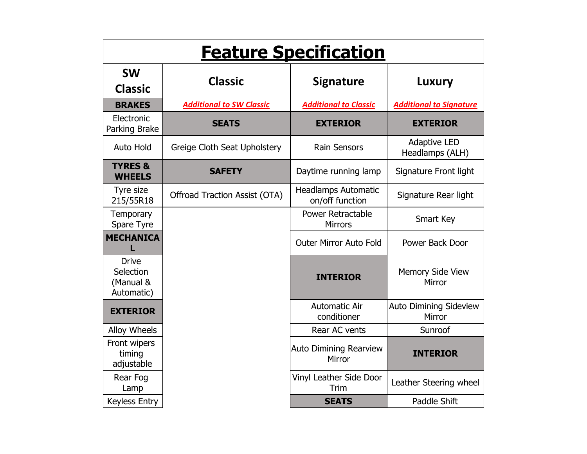| <b>Feature Specification</b>                         |                                      |                                               |                                         |  |
|------------------------------------------------------|--------------------------------------|-----------------------------------------------|-----------------------------------------|--|
| <b>SW</b><br><b>Classic</b>                          | <b>Classic</b>                       | <b>Signature</b>                              | Luxury                                  |  |
| <b>BRAKES</b>                                        | <b>Additional to SW Classic</b>      | <b>Additional to Classic</b>                  | <b>Additional to Signature</b>          |  |
| Electronic<br>Parking Brake                          | <b>SEATS</b>                         | <b>EXTERIOR</b>                               | <b>EXTERIOR</b>                         |  |
| <b>Auto Hold</b>                                     | Greige Cloth Seat Upholstery         | <b>Rain Sensors</b>                           | <b>Adaptive LED</b><br>Headlamps (ALH)  |  |
| <b>TYRES &amp;</b><br><b>WHEELS</b>                  | <b>SAFETY</b>                        | Daytime running lamp                          | Signature Front light                   |  |
| Tyre size<br>215/55R18                               | <b>Offroad Traction Assist (OTA)</b> | <b>Headlamps Automatic</b><br>on/off function | Signature Rear light                    |  |
| Temporary<br>Spare Tyre                              |                                      | <b>Power Retractable</b><br><b>Mirrors</b>    | Smart Key                               |  |
| <b>MECHANICA</b>                                     |                                      | <b>Outer Mirror Auto Fold</b>                 | Power Back Door                         |  |
| <b>Drive</b><br>Selection<br>(Manual &<br>Automatic) |                                      | <b>INTERIOR</b>                               | Memory Side View<br>Mirror              |  |
| <b>EXTERIOR</b>                                      |                                      | <b>Automatic Air</b><br>conditioner           | <b>Auto Dimining Sideview</b><br>Mirror |  |
| Alloy Wheels                                         |                                      | Rear AC vents                                 | Sunroof                                 |  |
| Front wipers<br>timing<br>adjustable                 |                                      | <b>Auto Dimining Rearview</b><br>Mirror       | <b>INTERIOR</b>                         |  |
| Rear Fog<br>Lamp                                     |                                      | Vinyl Leather Side Door<br>Trim               | Leather Steering wheel                  |  |
| <b>Keyless Entry</b>                                 |                                      | <b>SEATS</b>                                  | Paddle Shift                            |  |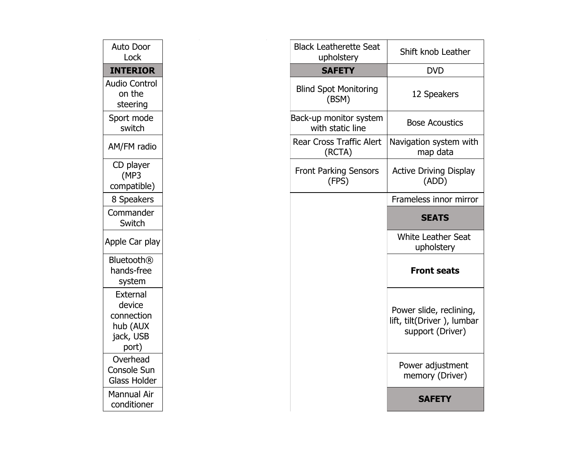| Auto Door<br>Lock                                                  | <b>Black Leatherette Seat</b><br>upholstery | Shift knob Leather                                                        |
|--------------------------------------------------------------------|---------------------------------------------|---------------------------------------------------------------------------|
| <b>INTERIOR</b>                                                    | <b>SAFETY</b>                               | <b>DVD</b>                                                                |
| <b>Audio Control</b><br>on the<br>steering                         | <b>Blind Spot Monitoring</b><br>(BSM)       | 12 Speakers                                                               |
| Sport mode<br>switch                                               | Back-up monitor system<br>with static line  | <b>Bose Acoustics</b>                                                     |
| AM/FM radio                                                        | Rear Cross Traffic Alert<br>(RCTA)          | Navigation system with<br>map data                                        |
| CD player<br>(MP3)<br>compatible)                                  | <b>Front Parking Sensors</b><br>(FPS)       | <b>Active Driving Display</b><br>(ADD)                                    |
| 8 Speakers                                                         |                                             | Frameless innor mirror                                                    |
| Commander<br>Switch                                                |                                             | <b>SEATS</b>                                                              |
| Apple Car play                                                     |                                             | <b>White Leather Seat</b><br>upholstery                                   |
| <b>Bluetooth®</b><br>hands-free<br>system                          |                                             | <b>Front seats</b>                                                        |
| External<br>device<br>connection<br>hub (AUX<br>jack, USB<br>port) |                                             | Power slide, reclining,<br>lift, tilt(Driver), lumbar<br>support (Driver) |
| Overhead<br>Console Sun<br><b>Glass Holder</b>                     |                                             | Power adjustment<br>memory (Driver)                                       |
| <b>Mannual Air</b><br>conditioner                                  |                                             | <b>SAFETY</b>                                                             |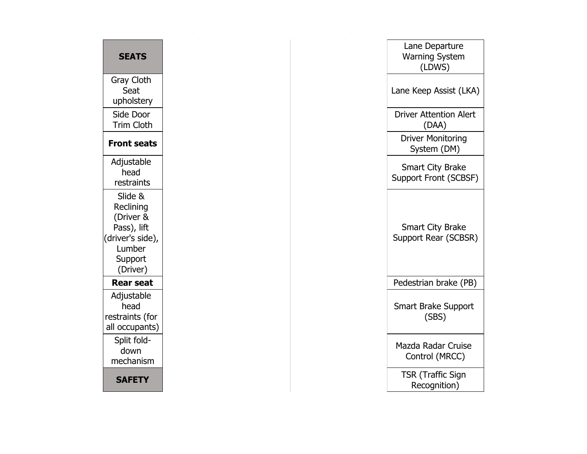| <b>SEATS</b>                                                                                          | Lane Departure<br><b>Warning System</b><br>(LDWS) |
|-------------------------------------------------------------------------------------------------------|---------------------------------------------------|
| Gray Cloth<br>Seat<br>upholstery                                                                      | Lane Keep Assist (LKA)                            |
| Side Door<br><b>Trim Cloth</b>                                                                        | <b>Driver Attention Alert</b><br>(DAA)            |
| <b>Front seats</b>                                                                                    | <b>Driver Monitoring</b><br>System (DM)           |
| Adjustable<br>head<br>restraints                                                                      | <b>Smart City Brake</b><br>Support Front (SCBSF)  |
| Slide &<br>Reclining<br>(Driver &<br>Pass), lift<br>(driver's side),<br>Lumber<br>Support<br>(Driver) | <b>Smart City Brake</b><br>Support Rear (SCBSR)   |
| <b>Rear seat</b>                                                                                      | Pedestrian brake (PB)                             |
| Adjustable<br>head<br>restraints (for<br>all occupants)                                               | <b>Smart Brake Support</b><br>(SBS)               |
| Split fold-<br>down<br>mechanism                                                                      | <b>Mazda Radar Cruise</b><br>Control (MRCC)       |
| <b>SAFETY</b>                                                                                         | <b>TSR (Traffic Sign)</b><br>Recognition)         |